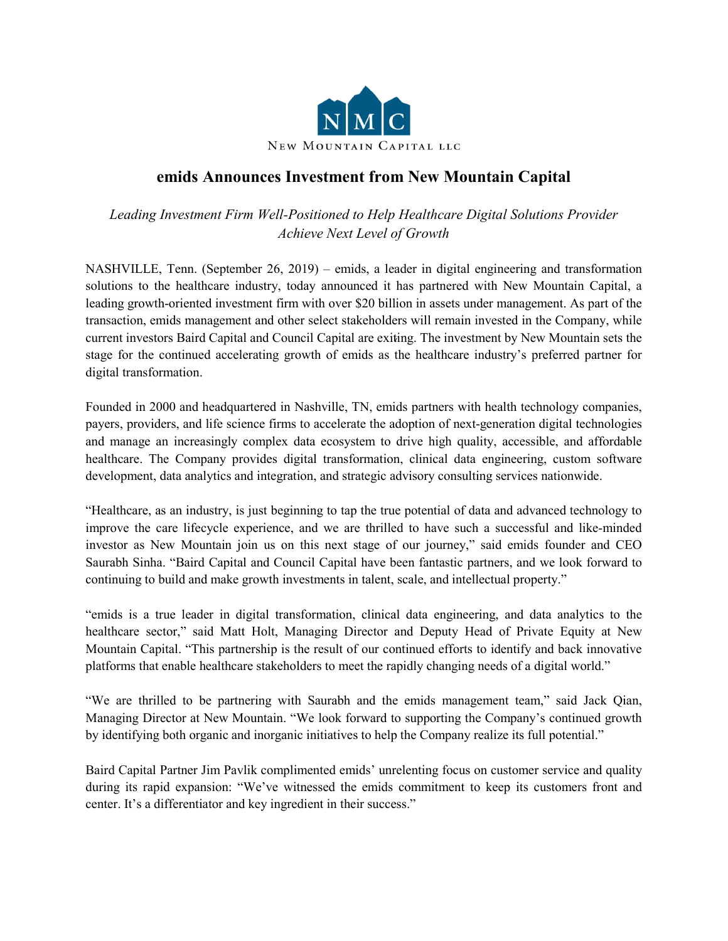

## **emids Announces Investment from New Mountain Capital**

*Leading Investment Firm Well-Positioned to Help Healthcare Digital Solutions Provider Achieve Next Level of Growth*

NASHVILLE, Tenn. (September 26, 2019) – emids, a leader in digital engineering and transformation solutions to the healthcare industry, today announced it has partnered with New Mountain Capital, a leading growth-oriented investment firm with over \$20 billion in assets under management. As part of the transaction, emids management and other select stakeholders will remain invested in the Company, while current investors Baird Capital and Council Capital are exiting. The investment by New Mountain sets the stage for the continued accelerating growth of emids as the healthcare industry's preferred partner for digital transformation.

Founded in 2000 and headquartered in Nashville, TN, emids partners with health technology companies, payers, providers, and life science firms to accelerate the adoption of next-generation digital technologies and manage an increasingly complex data ecosystem to drive high quality, accessible, and affordable healthcare. The Company provides digital transformation, clinical data engineering, custom software development, data analytics and integration, and strategic advisory consulting services nationwide.

"Healthcare, as an industry, is just beginning to tap the true potential of data and advanced technology to improve the care lifecycle experience, and we are thrilled to have such a successful and like-minded investor as New Mountain join us on this next stage of our journey," said emids founder and CEO Saurabh Sinha. "Baird Capital and Council Capital have been fantastic partners, and we look forward to continuing to build and make growth investments in talent, scale, and intellectual property."

"emids is a true leader in digital transformation, clinical data engineering, and data analytics to the healthcare sector," said Matt Holt, Managing Director and Deputy Head of Private Equity at New Mountain Capital. "This partnership is the result of our continued efforts to identify and back innovative platforms that enable healthcare stakeholders to meet the rapidly changing needs of a digital world."

"We are thrilled to be partnering with Saurabh and the emids management team," said Jack Qian, Managing Director at New Mountain. "We look forward to supporting the Company's continued growth by identifying both organic and inorganic initiatives to help the Company realize its full potential."

Baird Capital Partner Jim Pavlik complimented emids' unrelenting focus on customer service and quality during its rapid expansion: "We've witnessed the emids commitment to keep its customers front and center. It's a differentiator and key ingredient in their success."